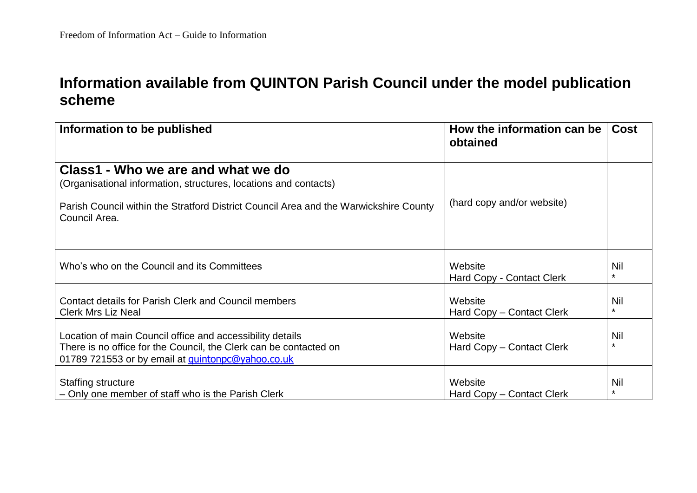## **Information available from QUINTON Parish Council under the model publication scheme**

| Information to be published                                                                                                                                                                                      | How the information can be<br>obtained | <b>Cost</b>    |
|------------------------------------------------------------------------------------------------------------------------------------------------------------------------------------------------------------------|----------------------------------------|----------------|
| Class1 - Who we are and what we do<br>(Organisational information, structures, locations and contacts)<br>Parish Council within the Stratford District Council Area and the Warwickshire County<br>Council Area. | (hard copy and/or website)             |                |
| Who's who on the Council and its Committees                                                                                                                                                                      | Website<br>Hard Copy - Contact Clerk   | Nil<br>$\star$ |
| <b>Contact details for Parish Clerk and Council members</b><br><b>Clerk Mrs Liz Neal</b>                                                                                                                         | Website<br>Hard Copy - Contact Clerk   | Nil<br>$\star$ |
| Location of main Council office and accessibility details<br>There is no office for the Council, the Clerk can be contacted on<br>01789 721553 or by email at quintonpc@yahoo.co.uk                              | Website<br>Hard Copy - Contact Clerk   | Nil<br>$\star$ |
| <b>Staffing structure</b><br>- Only one member of staff who is the Parish Clerk                                                                                                                                  | Website<br>Hard Copy - Contact Clerk   | Nil<br>$\star$ |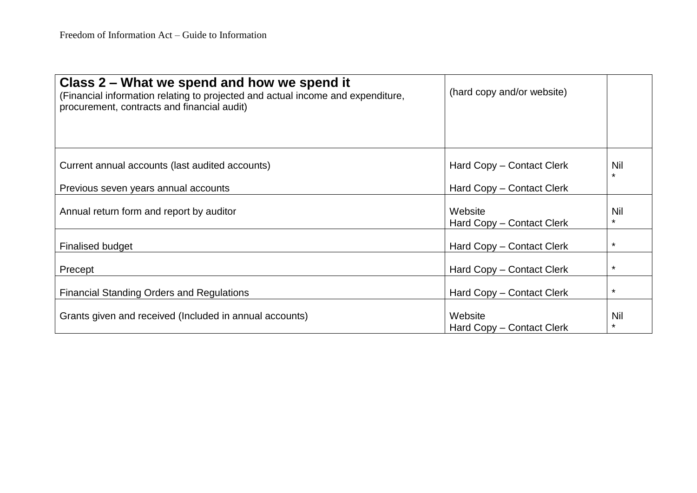| Class 2 – What we spend and how we spend it<br>(Financial information relating to projected and actual income and expenditure,<br>procurement, contracts and financial audit) | (hard copy and/or website)           |                |
|-------------------------------------------------------------------------------------------------------------------------------------------------------------------------------|--------------------------------------|----------------|
| Current annual accounts (last audited accounts)                                                                                                                               | Hard Copy - Contact Clerk            | Nil<br>$\star$ |
| Previous seven years annual accounts                                                                                                                                          | Hard Copy - Contact Clerk            |                |
| Annual return form and report by auditor                                                                                                                                      | Website<br>Hard Copy - Contact Clerk | Nil<br>$\star$ |
| <b>Finalised budget</b>                                                                                                                                                       | Hard Copy – Contact Clerk            | $\star$        |
| Precept                                                                                                                                                                       | Hard Copy – Contact Clerk            | $\star$        |
| <b>Financial Standing Orders and Regulations</b>                                                                                                                              | Hard Copy – Contact Clerk            | $\star$        |
| Grants given and received (Included in annual accounts)                                                                                                                       | Website<br>Hard Copy – Contact Clerk | Nil<br>$\star$ |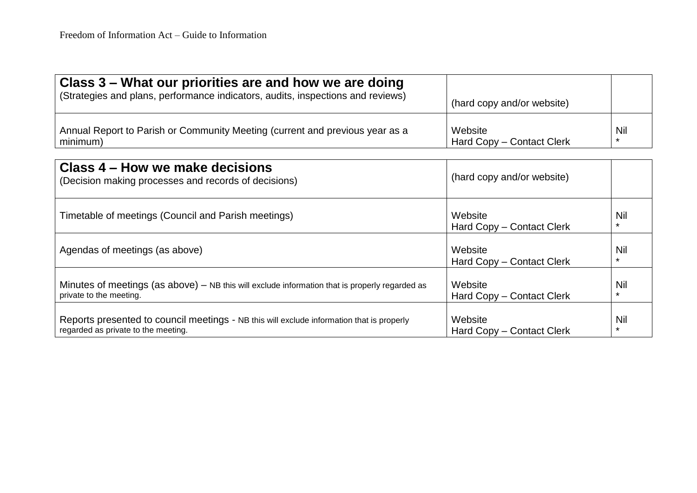| Class 3 – What our priorities are and how we are doing<br>(Strategies and plans, performance indicators, audits, inspections and reviews) | (hard copy and/or website) |            |
|-------------------------------------------------------------------------------------------------------------------------------------------|----------------------------|------------|
| Annual Report to Parish or Community Meeting (current and previous year as a                                                              | Website                    | <b>Nil</b> |
| minimum)                                                                                                                                  | Hard Copy - Contact Clerk  | *          |

| Class 4 – How we make decisions<br>(Decision making processes and records of decisions)                                          | (hard copy and/or website)           |                |
|----------------------------------------------------------------------------------------------------------------------------------|--------------------------------------|----------------|
| Timetable of meetings (Council and Parish meetings)                                                                              | Website<br>Hard Copy - Contact Clerk | Nil<br>$\star$ |
| Agendas of meetings (as above)                                                                                                   | Website<br>Hard Copy – Contact Clerk | Nil            |
| Minutes of meetings (as above) – NB this will exclude information that is properly regarded as<br>private to the meeting.        | Website<br>Hard Copy - Contact Clerk | Nil            |
| Reports presented to council meetings - NB this will exclude information that is properly<br>regarded as private to the meeting. | Website<br>Hard Copy - Contact Clerk | Nil            |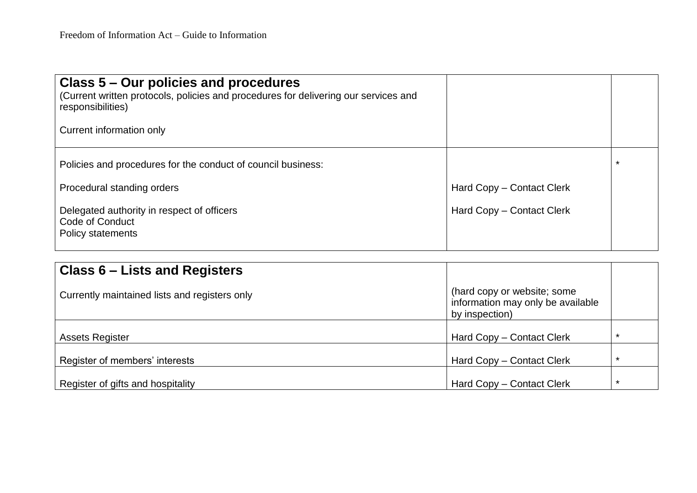| Class 5 – Our policies and procedures<br>(Current written protocols, policies and procedures for delivering our services and<br>responsibilities)<br>Current information only    |                                                        |         |
|----------------------------------------------------------------------------------------------------------------------------------------------------------------------------------|--------------------------------------------------------|---------|
| Policies and procedures for the conduct of council business:<br>Procedural standing orders<br>Delegated authority in respect of officers<br>Code of Conduct<br>Policy statements | Hard Copy - Contact Clerk<br>Hard Copy - Contact Clerk | $\star$ |

| Class 6 – Lists and Registers                 |                                                                                    |         |
|-----------------------------------------------|------------------------------------------------------------------------------------|---------|
| Currently maintained lists and registers only | (hard copy or website; some<br>information may only be available<br>by inspection) |         |
| <b>Assets Register</b>                        | Hard Copy - Contact Clerk                                                          | *       |
| Register of members' interests                | Hard Copy - Contact Clerk                                                          | $\star$ |
| Register of gifts and hospitality             | Hard Copy - Contact Clerk                                                          | $\star$ |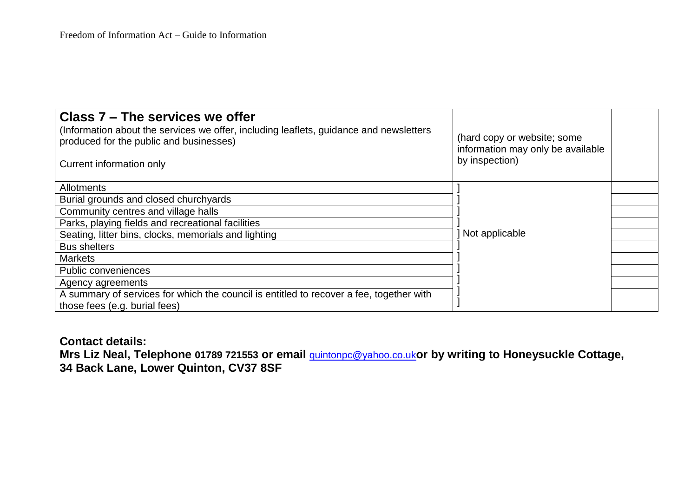| Class 7 – The services we offer<br>(Information about the services we offer, including leaflets, guidance and newsletters<br>produced for the public and businesses)<br>Current information only | (hard copy or website; some<br>information may only be available<br>by inspection) |  |
|--------------------------------------------------------------------------------------------------------------------------------------------------------------------------------------------------|------------------------------------------------------------------------------------|--|
| Allotments                                                                                                                                                                                       |                                                                                    |  |
| Burial grounds and closed churchyards                                                                                                                                                            |                                                                                    |  |
| Community centres and village halls                                                                                                                                                              |                                                                                    |  |
| Parks, playing fields and recreational facilities                                                                                                                                                |                                                                                    |  |
| Seating, litter bins, clocks, memorials and lighting                                                                                                                                             | Not applicable                                                                     |  |
| <b>Bus shelters</b>                                                                                                                                                                              |                                                                                    |  |
| <b>Markets</b>                                                                                                                                                                                   |                                                                                    |  |
| <b>Public conveniences</b>                                                                                                                                                                       |                                                                                    |  |
| Agency agreements                                                                                                                                                                                |                                                                                    |  |
| A summary of services for which the council is entitled to recover a fee, together with<br>those fees (e.g. burial fees)                                                                         |                                                                                    |  |

**Contact details:**

**Mrs Liz Neal, Telephone 01789 721553 or email** [quintonpc@yahoo.co.uk](mailto:quintonpc@yahoo.co.uk)**or by writing to Honeysuckle Cottage, 34 Back Lane, Lower Quinton, CV37 8SF**